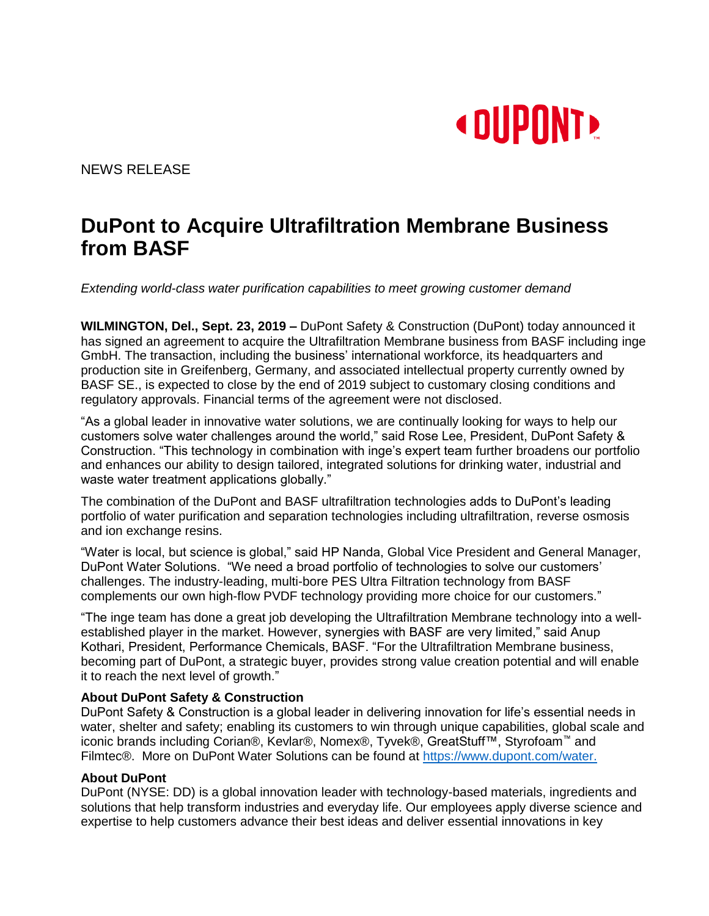

NEWS RELEASE

# **DuPont to Acquire Ultrafiltration Membrane Business from BASF**

*Extending world-class water purification capabilities to meet growing customer demand*

**WILMINGTON, Del., Sept. 23, 2019 –** DuPont Safety & Construction (DuPont) today announced it has signed an agreement to acquire the Ultrafiltration Membrane business from BASF including inge GmbH. The transaction, including the business' international workforce, its headquarters and production site in Greifenberg, Germany, and associated intellectual property currently owned by BASF SE., is expected to close by the end of 2019 subject to customary closing conditions and regulatory approvals. Financial terms of the agreement were not disclosed.

"As a global leader in innovative water solutions, we are continually looking for ways to help our customers solve water challenges around the world," said Rose Lee, President, DuPont Safety & Construction. "This technology in combination with inge's expert team further broadens our portfolio and enhances our ability to design tailored, integrated solutions for drinking water, industrial and waste water treatment applications globally."

The combination of the DuPont and BASF ultrafiltration technologies adds to DuPont's leading portfolio of water purification and separation technologies including ultrafiltration, reverse osmosis and ion exchange resins.

"Water is local, but science is global," said HP Nanda, Global Vice President and General Manager, DuPont Water Solutions. "We need a broad portfolio of technologies to solve our customers' challenges. The industry-leading, multi-bore PES Ultra Filtration technology from BASF complements our own high-flow PVDF technology providing more choice for our customers."

"The inge team has done a great job developing the Ultrafiltration Membrane technology into a wellestablished player in the market. However, synergies with BASF are very limited," said Anup Kothari, President, Performance Chemicals, BASF. "For the Ultrafiltration Membrane business, becoming part of DuPont, a strategic buyer, provides strong value creation potential and will enable it to reach the next level of growth."

# **About DuPont Safety & Construction**

DuPont Safety & Construction is a global leader in delivering innovation for life's essential needs in water, shelter and safety; enabling its customers to win through unique capabilities, global scale and iconic brands including Corian®, Kevlar®, Nomex®, Tyvek®, GreatStuff™, Styrofoam™ and Filmtec®. More on DuPont Water Solutions can be found at [https://www.dupont.com/water.](https://www.dupont.com/water)

# **About DuPont**

DuPont (NYSE: DD) is a global innovation leader with technology-based materials, ingredients and solutions that help transform industries and everyday life. Our employees apply diverse science and expertise to help customers advance their best ideas and deliver essential innovations in key